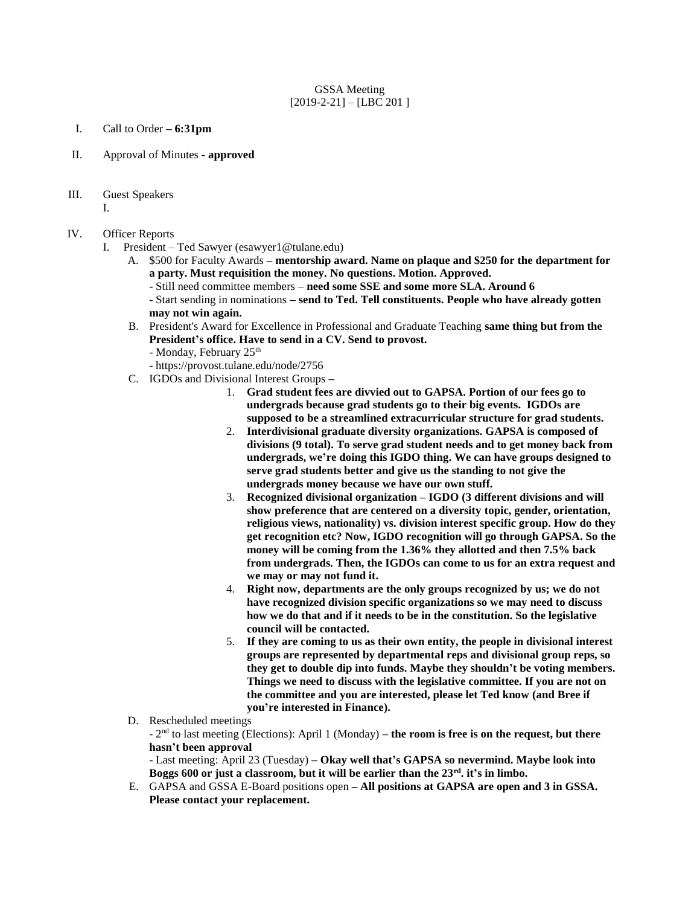## GSSA Meeting  $[2019-2-21] - [LBC 201]$

- I. Call to Order **– 6:31pm**
- II. Approval of Minutes **- approved**
- III. Guest Speakers
	- I.

## IV. Officer Reports

- I. President Ted Sawyer (esawyer1@tulane.edu)
	- A. \$500 for Faculty Awards **– mentorship award. Name on plaque and \$250 for the department for a party. Must requisition the money. No questions. Motion. Approved.**
		- Still need committee members **need some SSE and some more SLA. Around 6**

- Start sending in nominations **– send to Ted. Tell constituents. People who have already gotten may not win again.**

- B. President's Award for Excellence in Professional and Graduate Teaching **same thing but from the President's office. Have to send in a CV. Send to provost.** 
	- Monday, February 25<sup>th</sup>
	- https://provost.tulane.edu/node/2756
- C. IGDOs and Divisional Interest Groups **–**
	- 1. **Grad student fees are divvied out to GAPSA. Portion of our fees go to undergrads because grad students go to their big events. IGDOs are supposed to be a streamlined extracurricular structure for grad students.**
	- 2. **Interdivisional graduate diversity organizations. GAPSA is composed of divisions (9 total). To serve grad student needs and to get money back from undergrads, we're doing this IGDO thing. We can have groups designed to serve grad students better and give us the standing to not give the undergrads money because we have our own stuff.**
	- 3. **Recognized divisional organization – IGDO (3 different divisions and will show preference that are centered on a diversity topic, gender, orientation, religious views, nationality) vs. division interest specific group. How do they get recognition etc? Now, IGDO recognition will go through GAPSA. So the money will be coming from the 1.36% they allotted and then 7.5% back from undergrads. Then, the IGDOs can come to us for an extra request and we may or may not fund it.**
	- 4. **Right now, departments are the only groups recognized by us; we do not have recognized division specific organizations so we may need to discuss how we do that and if it needs to be in the constitution. So the legislative council will be contacted.**
	- 5. **If they are coming to us as their own entity, the people in divisional interest groups are represented by departmental reps and divisional group reps, so they get to double dip into funds. Maybe they shouldn't be voting members. Things we need to discuss with the legislative committee. If you are not on the committee and you are interested, please let Ted know (and Bree if you're interested in Finance).**
- D. Rescheduled meetings

- 2 nd to last meeting (Elections): April 1 (Monday) **– the room is free is on the request, but there hasn't been approval**

- Last meeting: April 23 (Tuesday) **– Okay well that's GAPSA so nevermind. Maybe look into Boggs 600 or just a classroom, but it will be earlier than the 23rd. it's in limbo.**

E. GAPSA and GSSA E-Board positions open **– All positions at GAPSA are open and 3 in GSSA. Please contact your replacement.**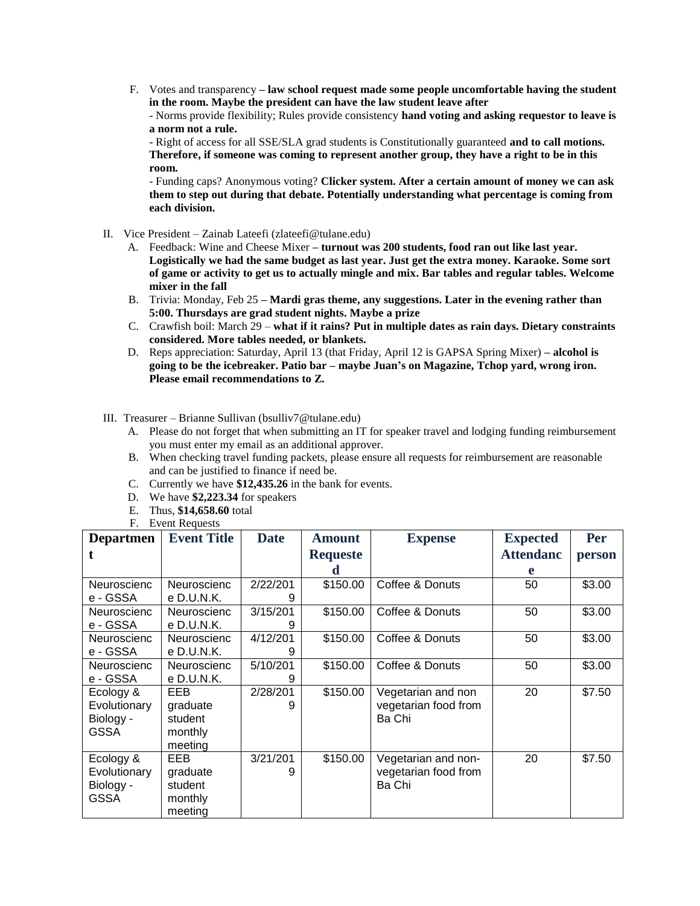F. Votes and transparency **– law school request made some people uncomfortable having the student in the room. Maybe the president can have the law student leave after**

- Norms provide flexibility; Rules provide consistency **hand voting and asking requestor to leave is a norm not a rule.** 

- Right of access for all SSE/SLA grad students is Constitutionally guaranteed **and to call motions. Therefore, if someone was coming to represent another group, they have a right to be in this room.** 

- Funding caps? Anonymous voting? **Clicker system. After a certain amount of money we can ask them to step out during that debate. Potentially understanding what percentage is coming from each division.** 

- II. Vice President Zainab Lateefi (zlateefi@tulane.edu)
	- A. Feedback: Wine and Cheese Mixer **– turnout was 200 students, food ran out like last year. Logistically we had the same budget as last year. Just get the extra money. Karaoke. Some sort of game or activity to get us to actually mingle and mix. Bar tables and regular tables. Welcome mixer in the fall**
	- B. Trivia: Monday, Feb 25 **– Mardi gras theme, any suggestions. Later in the evening rather than 5:00. Thursdays are grad student nights. Maybe a prize**
	- C. Crawfish boil: March 29 **what if it rains? Put in multiple dates as rain days. Dietary constraints considered. More tables needed, or blankets.**
	- D. Reps appreciation: Saturday, April 13 (that Friday, April 12 is GAPSA Spring Mixer) **– alcohol is going to be the icebreaker. Patio bar – maybe Juan's on Magazine, Tchop yard, wrong iron. Please email recommendations to Z.**
- III. Treasurer Brianne Sullivan (bsulliv7@tulane.edu)
	- A. Please do not forget that when submitting an IT for speaker travel and lodging funding reimbursement you must enter my email as an additional approver.
	- B. When checking travel funding packets, please ensure all requests for reimbursement are reasonable and can be justified to finance if need be.
	- C. Currently we have **\$12,435.26** in the bank for events.
	- D. We have **\$2,223.34** for speakers
	- E. Thus, **\$14,658.60** total
	- F. Event Requests

| <b>Departmen</b>                                      | <b>Event Title</b>                               | <b>Date</b>   | <b>Amount</b>   | <b>Expense</b>                                        | <b>Expected</b>  | Per    |
|-------------------------------------------------------|--------------------------------------------------|---------------|-----------------|-------------------------------------------------------|------------------|--------|
|                                                       |                                                  |               | <b>Requeste</b> |                                                       | <b>Attendanc</b> | person |
|                                                       |                                                  |               | d               |                                                       | e                |        |
| Neuroscienc<br>e - GSSA                               | Neuroscienc<br>e D.U.N.K.                        | 2/22/201<br>9 | \$150.00        | Coffee & Donuts                                       | 50               | \$3.00 |
| <b>Neuroscienc</b><br>e - GSSA                        | <b>Neuroscienc</b><br>e D.U.N.K.                 | 3/15/201<br>9 | \$150.00        | Coffee & Donuts                                       | 50               | \$3.00 |
| Neuroscienc<br>e - GSSA                               | Neuroscienc<br>e D.U.N.K.                        | 4/12/201<br>9 | \$150.00        | Coffee & Donuts                                       | 50               | \$3.00 |
| Neuroscienc<br>e - GSSA                               | <b>Neuroscienc</b><br>e D.U.N.K.                 | 5/10/201<br>9 | \$150.00        | Coffee & Donuts                                       | 50               | \$3.00 |
| Ecology &<br>Evolutionary<br>Biology -<br><b>GSSA</b> | EEB<br>graduate<br>student<br>monthly<br>meeting | 2/28/201<br>9 | \$150.00        | Vegetarian and non<br>vegetarian food from<br>Ba Chi  | 20               | \$7.50 |
| Ecology &<br>Evolutionary<br>Biology -<br><b>GSSA</b> | EEB<br>graduate<br>student<br>monthly<br>meeting | 3/21/201<br>9 | \$150.00        | Vegetarian and non-<br>vegetarian food from<br>Ba Chi | 20               | \$7.50 |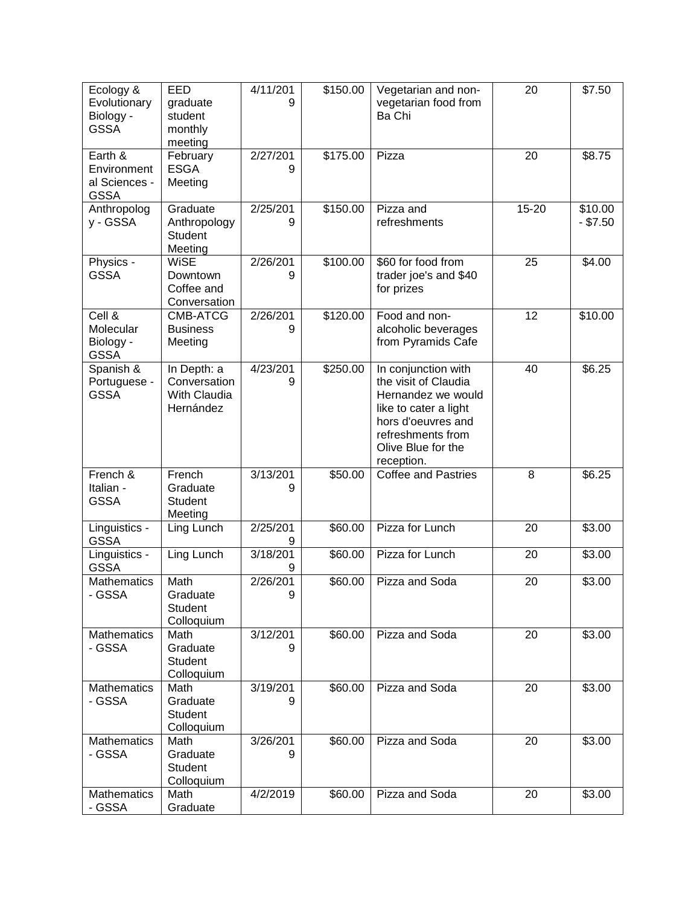| Ecology &<br>Evolutionary<br>Biology -<br><b>GSSA</b>  | EED<br>graduate<br>student<br>monthly<br>meeting         | 4/11/201<br>9 | \$150.00 | Vegetarian and non-<br>vegetarian food from<br>Ba Chi                                                                                                                     | 20    | \$7.50                |
|--------------------------------------------------------|----------------------------------------------------------|---------------|----------|---------------------------------------------------------------------------------------------------------------------------------------------------------------------------|-------|-----------------------|
| Earth &<br>Environment<br>al Sciences -<br><b>GSSA</b> | February<br><b>ESGA</b><br>Meeting                       | 2/27/201<br>9 | \$175.00 | Pizza                                                                                                                                                                     | 20    | $\overline{$8.75}$    |
| Anthropolog<br>y - GSSA                                | Graduate<br>Anthropology<br><b>Student</b><br>Meeting    | 2/25/201<br>9 | \$150.00 | Pizza and<br>refreshments                                                                                                                                                 | 15-20 | \$10.00<br>$-$ \$7.50 |
| Physics -<br><b>GSSA</b>                               | <b>WiSE</b><br>Downtown<br>Coffee and<br>Conversation    | 2/26/201<br>9 | \$100.00 | \$60 for food from<br>trader joe's and \$40<br>for prizes                                                                                                                 | 25    | \$4.00                |
| Cell &<br>Molecular<br>Biology -<br><b>GSSA</b>        | CMB-ATCG<br><b>Business</b><br>Meeting                   | 2/26/201<br>9 | \$120.00 | Food and non-<br>alcoholic beverages<br>from Pyramids Cafe                                                                                                                | 12    | \$10.00               |
| Spanish &<br>Portuguese -<br><b>GSSA</b>               | In Depth: a<br>Conversation<br>With Claudia<br>Hernández | 4/23/201<br>9 | \$250.00 | In conjunction with<br>the visit of Claudia<br>Hernandez we would<br>like to cater a light<br>hors d'oeuvres and<br>refreshments from<br>Olive Blue for the<br>reception. | 40    | \$6.25                |
| French &<br>Italian -<br><b>GSSA</b>                   | French<br>Graduate<br>Student<br>Meeting                 | 3/13/201<br>9 | \$50.00  | <b>Coffee and Pastries</b>                                                                                                                                                | 8     | \$6.25                |
| Linguistics -<br><b>GSSA</b>                           | Ling Lunch                                               | 2/25/201<br>9 | \$60.00  | Pizza for Lunch                                                                                                                                                           | 20    | \$3.00                |
| Linguistics -<br><b>GSSA</b>                           | Ling Lunch                                               | 3/18/201<br>9 | \$60.00  | Pizza for Lunch                                                                                                                                                           | 20    | \$3.00                |
| Mathematics<br><b>GSSA</b>                             | Math<br>Graduate<br>Student<br>Colloquium                | 2/26/201<br>9 | \$60.00  | Pizza and Soda                                                                                                                                                            | 20    | \$3.00                |
| Mathematics<br>- GSSA                                  | Math<br>Graduate<br>Student<br>Colloquium                | 3/12/201<br>9 | \$60.00  | Pizza and Soda                                                                                                                                                            | 20    | \$3.00                |
| Mathematics<br>- GSSA                                  | Math<br>Graduate<br>Student<br>Colloquium                | 3/19/201<br>9 | \$60.00  | Pizza and Soda                                                                                                                                                            | 20    | \$3.00                |
| Mathematics<br>- GSSA                                  | Math<br>Graduate<br>Student<br>Colloquium                | 3/26/201<br>9 | \$60.00  | Pizza and Soda                                                                                                                                                            | 20    | \$3.00                |
| Mathematics<br>- GSSA                                  | Math<br>Graduate                                         | 4/2/2019      | \$60.00  | Pizza and Soda                                                                                                                                                            | 20    | \$3.00                |